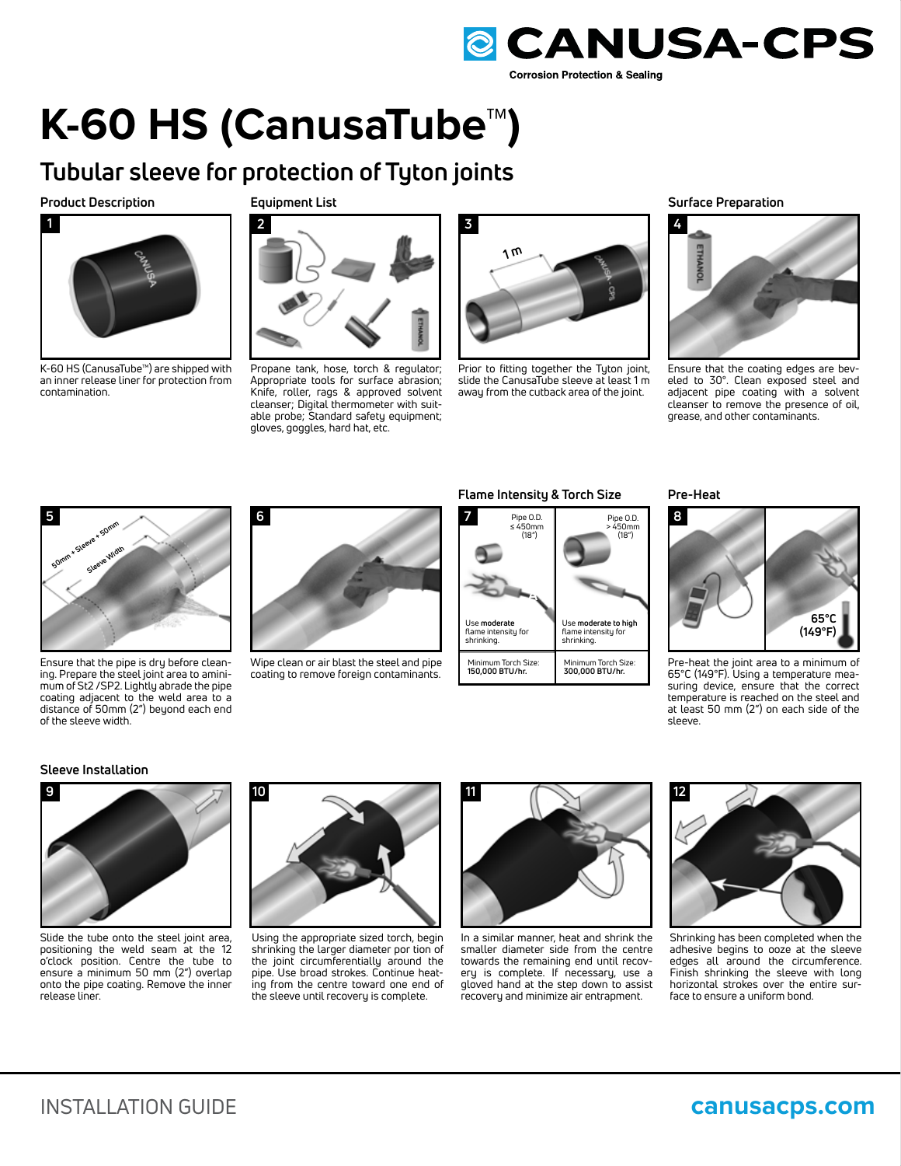

## **K-60 HS (CanusaTube™)**

### **Tubular sleeve for protection of Tyton joints**

#### **Product Description**



K-60 HS (CanusaTube™) are shipped with an inner release liner for protection from contamination.

**Equipment List**



Propane tank, hose, torch & regulator; Appropriate tools for surface abrasion; Knife, roller, rags & approved solvent cleanser; Digital thermometer with suitable probe; Standard safety equipment; gloves, goggles, hard hat, etc.



Prior to fitting together the Tyton joint, slide the CanusaTube sleeve at least 1 m away from the cutback area of the joint.

**Surface Preparation**



Ensure that the coating edges are beveled to 30°. Clean exposed steel and adjacent pipe coating with a solvent cleanser to remove the presence of oil, grease, and other contaminants.



Ensure that the pipe is dry before cleaning. Prepare the steel joint area to aminimum of St2 /SP2. Lightly abrade the pipe coating adjacent to the weld area to a distance of 50mm (2") beyond each end of the sleeve width.

# **6**

Wipe clean or air blast the steel and pipe coating to remove foreign contaminants.

#### **Flame Intensity & Torch Size**



**Pre-Heat**



Pre-heat the joint area to a minimum of 65°C (149°F). Using a temperature measuring device, ensure that the correct temperature is reached on the steel and at least 50 mm (2") on each side of the sleeve.

#### **Sleeve Installation**



Slide the tube onto the steel joint area, positioning the weld seam at the 12 o'clock position. Centre the tube to ensure a minimum 50 mm (2") overlap onto the pipe coating. Remove the inner release liner.



Using the appropriate sized torch, begin shrinking the larger diameter por tion of the joint circumferentially around the pipe. Use broad strokes. Continue heating from the centre toward one end of the sleeve until recovery is complete.



In a similar manner, heat and shrink the smaller diameter side from the centre towards the remaining end until recovery is complete. If necessary, use a gloved hand at the step down to assist recovery and minimize air entrapment.



Shrinking has been completed when the adhesive begins to ooze at the sleeve edges all around the circumference. Finish shrinking the sleeve with long horizontal strokes over the entire surface to ensure a uniform bond.